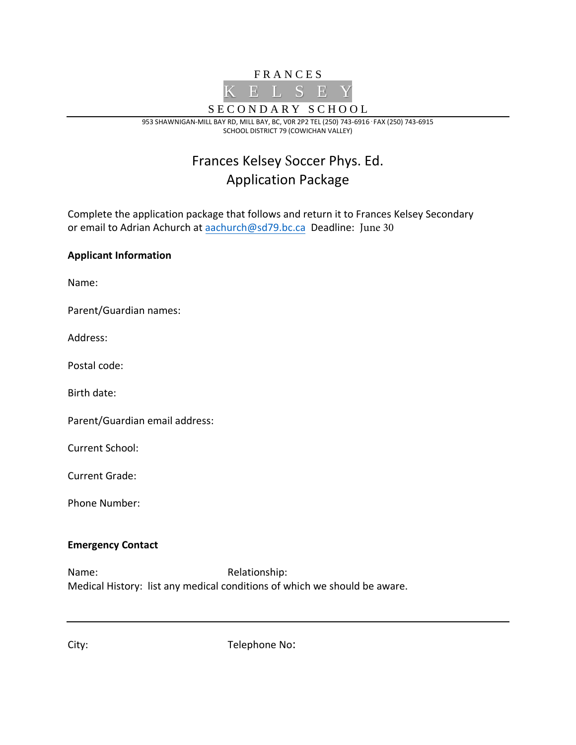

953 SHAWNIGAN-MILL BAY RD, MILL BAY, BC, V0R 2P2 TEL (250) 743-6916 **.** FAX (250) 743-6915 SCHOOL DISTRICT 79 (COWICHAN VALLEY)

# Frances Kelsey Soccer Phys. Ed. Application Package

Complete the application package that follows and return it to Frances Kelsey Secondary or email to Adrian Achurch a[t aachurch@sd79.bc.ca](mailto:aachurch@sd79.bc.ca) Deadline: June 30

# **Applicant Information**

Name:

Parent/Guardian names:

Address:

Postal code:

Birth date:

Parent/Guardian email address:

Current School:

Current Grade:

Phone Number:

#### **Emergency Contact**

Name: Relationship: Medical History: list any medical conditions of which we should be aware.

City: Telephone No: